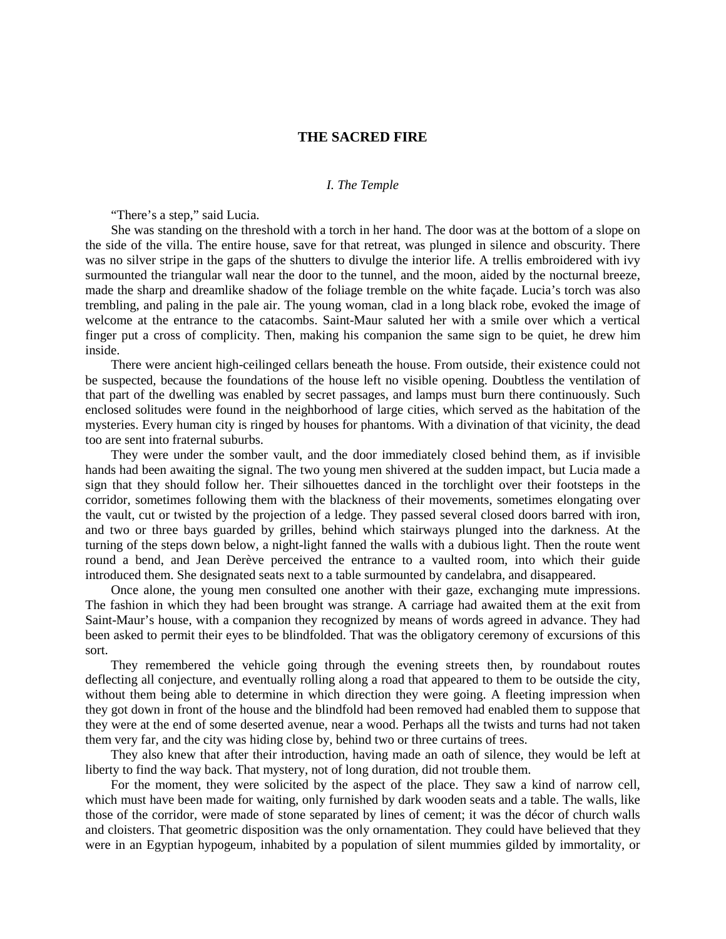## **THE SACRED FIRE**

## *I. The Temple*

"There's a step," said Lucia.

She was standing on the threshold with a torch in her hand. The door was at the bottom of a slope on the side of the villa. The entire house, save for that retreat, was plunged in silence and obscurity. There was no silver stripe in the gaps of the shutters to divulge the interior life. A trellis embroidered with ivy surmounted the triangular wall near the door to the tunnel, and the moon, aided by the nocturnal breeze, made the sharp and dreamlike shadow of the foliage tremble on the white façade. Lucia's torch was also trembling, and paling in the pale air. The young woman, clad in a long black robe, evoked the image of welcome at the entrance to the catacombs. Saint-Maur saluted her with a smile over which a vertical finger put a cross of complicity. Then, making his companion the same sign to be quiet, he drew him inside.

There were ancient high-ceilinged cellars beneath the house. From outside, their existence could not be suspected, because the foundations of the house left no visible opening. Doubtless the ventilation of that part of the dwelling was enabled by secret passages, and lamps must burn there continuously. Such enclosed solitudes were found in the neighborhood of large cities, which served as the habitation of the mysteries. Every human city is ringed by houses for phantoms. With a divination of that vicinity, the dead too are sent into fraternal suburbs.

They were under the somber vault, and the door immediately closed behind them, as if invisible hands had been awaiting the signal. The two young men shivered at the sudden impact, but Lucia made a sign that they should follow her. Their silhouettes danced in the torchlight over their footsteps in the corridor, sometimes following them with the blackness of their movements, sometimes elongating over the vault, cut or twisted by the projection of a ledge. They passed several closed doors barred with iron, and two or three bays guarded by grilles, behind which stairways plunged into the darkness. At the turning of the steps down below, a night-light fanned the walls with a dubious light. Then the route went round a bend, and Jean Derève perceived the entrance to a vaulted room, into which their guide introduced them. She designated seats next to a table surmounted by candelabra, and disappeared.

Once alone, the young men consulted one another with their gaze, exchanging mute impressions. The fashion in which they had been brought was strange. A carriage had awaited them at the exit from Saint-Maur's house, with a companion they recognized by means of words agreed in advance. They had been asked to permit their eyes to be blindfolded. That was the obligatory ceremony of excursions of this sort.

They remembered the vehicle going through the evening streets then, by roundabout routes deflecting all conjecture, and eventually rolling along a road that appeared to them to be outside the city, without them being able to determine in which direction they were going. A fleeting impression when they got down in front of the house and the blindfold had been removed had enabled them to suppose that they were at the end of some deserted avenue, near a wood. Perhaps all the twists and turns had not taken them very far, and the city was hiding close by, behind two or three curtains of trees.

They also knew that after their introduction, having made an oath of silence, they would be left at liberty to find the way back. That mystery, not of long duration, did not trouble them.

For the moment, they were solicited by the aspect of the place. They saw a kind of narrow cell, which must have been made for waiting, only furnished by dark wooden seats and a table. The walls, like those of the corridor, were made of stone separated by lines of cement; it was the décor of church walls and cloisters. That geometric disposition was the only ornamentation. They could have believed that they were in an Egyptian hypogeum, inhabited by a population of silent mummies gilded by immortality, or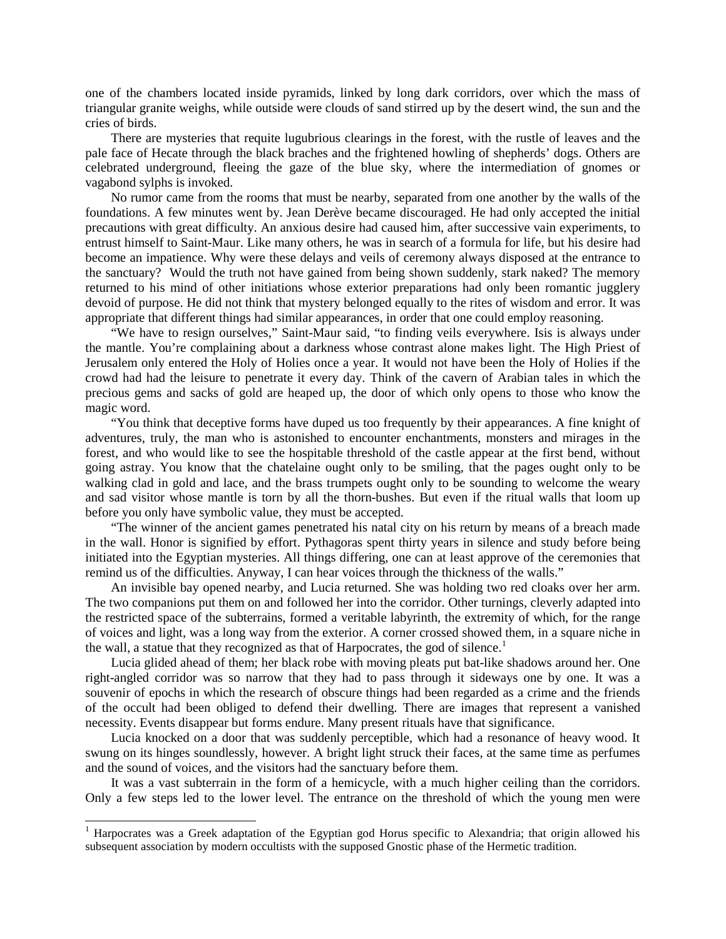one of the chambers located inside pyramids, linked by long dark corridors, over which the mass of triangular granite weighs, while outside were clouds of sand stirred up by the desert wind, the sun and the cries of birds.

There are mysteries that requite lugubrious clearings in the forest, with the rustle of leaves and the pale face of Hecate through the black braches and the frightened howling of shepherds' dogs. Others are celebrated underground, fleeing the gaze of the blue sky, where the intermediation of gnomes or vagabond sylphs is invoked.

No rumor came from the rooms that must be nearby, separated from one another by the walls of the foundations. A few minutes went by. Jean Derève became discouraged. He had only accepted the initial precautions with great difficulty. An anxious desire had caused him, after successive vain experiments, to entrust himself to Saint-Maur. Like many others, he was in search of a formula for life, but his desire had become an impatience. Why were these delays and veils of ceremony always disposed at the entrance to the sanctuary? Would the truth not have gained from being shown suddenly, stark naked? The memory returned to his mind of other initiations whose exterior preparations had only been romantic jugglery devoid of purpose. He did not think that mystery belonged equally to the rites of wisdom and error. It was appropriate that different things had similar appearances, in order that one could employ reasoning.

"We have to resign ourselves," Saint-Maur said, "to finding veils everywhere. Isis is always under the mantle. You're complaining about a darkness whose contrast alone makes light. The High Priest of Jerusalem only entered the Holy of Holies once a year. It would not have been the Holy of Holies if the crowd had had the leisure to penetrate it every day. Think of the cavern of Arabian tales in which the precious gems and sacks of gold are heaped up, the door of which only opens to those who know the magic word.

"You think that deceptive forms have duped us too frequently by their appearances. A fine knight of adventures, truly, the man who is astonished to encounter enchantments, monsters and mirages in the forest, and who would like to see the hospitable threshold of the castle appear at the first bend, without going astray. You know that the chatelaine ought only to be smiling, that the pages ought only to be walking clad in gold and lace, and the brass trumpets ought only to be sounding to welcome the weary and sad visitor whose mantle is torn by all the thorn-bushes. But even if the ritual walls that loom up before you only have symbolic value, they must be accepted.

"The winner of the ancient games penetrated his natal city on his return by means of a breach made in the wall. Honor is signified by effort. Pythagoras spent thirty years in silence and study before being initiated into the Egyptian mysteries. All things differing, one can at least approve of the ceremonies that remind us of the difficulties. Anyway, I can hear voices through the thickness of the walls."

An invisible bay opened nearby, and Lucia returned. She was holding two red cloaks over her arm. The two companions put them on and followed her into the corridor. Other turnings, cleverly adapted into the restricted space of the subterrains, formed a veritable labyrinth, the extremity of which, for the range of voices and light, was a long way from the exterior. A corner crossed showed them, in a square niche in the wall, a statue that they recognized as that of Harpocrates, the god of silence.<sup>[1](#page-1-0)</sup>

Lucia glided ahead of them; her black robe with moving pleats put bat-like shadows around her. One right-angled corridor was so narrow that they had to pass through it sideways one by one. It was a souvenir of epochs in which the research of obscure things had been regarded as a crime and the friends of the occult had been obliged to defend their dwelling. There are images that represent a vanished necessity. Events disappear but forms endure. Many present rituals have that significance.

Lucia knocked on a door that was suddenly perceptible, which had a resonance of heavy wood. It swung on its hinges soundlessly, however. A bright light struck their faces, at the same time as perfumes and the sound of voices, and the visitors had the sanctuary before them.

It was a vast subterrain in the form of a hemicycle, with a much higher ceiling than the corridors. Only a few steps led to the lower level. The entrance on the threshold of which the young men were

<span id="page-1-0"></span><sup>&</sup>lt;sup>1</sup> Harpocrates was a Greek adaptation of the Egyptian god Horus specific to Alexandria; that origin allowed his subsequent association by modern occultists with the supposed Gnostic phase of the Hermetic tradition.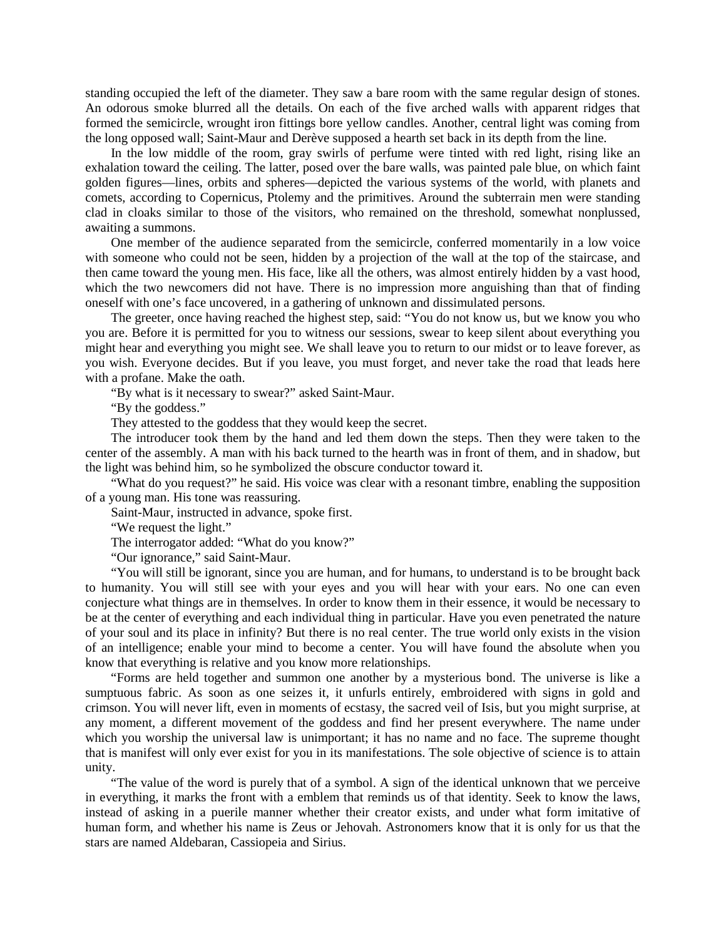standing occupied the left of the diameter. They saw a bare room with the same regular design of stones. An odorous smoke blurred all the details. On each of the five arched walls with apparent ridges that formed the semicircle, wrought iron fittings bore yellow candles. Another, central light was coming from the long opposed wall; Saint-Maur and Derève supposed a hearth set back in its depth from the line.

In the low middle of the room, gray swirls of perfume were tinted with red light, rising like an exhalation toward the ceiling. The latter, posed over the bare walls, was painted pale blue, on which faint golden figures—lines, orbits and spheres—depicted the various systems of the world, with planets and comets, according to Copernicus, Ptolemy and the primitives. Around the subterrain men were standing clad in cloaks similar to those of the visitors, who remained on the threshold, somewhat nonplussed, awaiting a summons.

One member of the audience separated from the semicircle, conferred momentarily in a low voice with someone who could not be seen, hidden by a projection of the wall at the top of the staircase, and then came toward the young men. His face, like all the others, was almost entirely hidden by a vast hood, which the two newcomers did not have. There is no impression more anguishing than that of finding oneself with one's face uncovered, in a gathering of unknown and dissimulated persons.

The greeter, once having reached the highest step, said: "You do not know us, but we know you who you are. Before it is permitted for you to witness our sessions, swear to keep silent about everything you might hear and everything you might see. We shall leave you to return to our midst or to leave forever, as you wish. Everyone decides. But if you leave, you must forget, and never take the road that leads here with a profane. Make the oath.

"By what is it necessary to swear?" asked Saint-Maur.

"By the goddess."

They attested to the goddess that they would keep the secret.

The introducer took them by the hand and led them down the steps. Then they were taken to the center of the assembly. A man with his back turned to the hearth was in front of them, and in shadow, but the light was behind him, so he symbolized the obscure conductor toward it.

"What do you request?" he said. His voice was clear with a resonant timbre, enabling the supposition of a young man. His tone was reassuring.

Saint-Maur, instructed in advance, spoke first.

"We request the light."

The interrogator added: "What do you know?"

"Our ignorance," said Saint-Maur.

"You will still be ignorant, since you are human, and for humans, to understand is to be brought back to humanity. You will still see with your eyes and you will hear with your ears. No one can even conjecture what things are in themselves. In order to know them in their essence, it would be necessary to be at the center of everything and each individual thing in particular. Have you even penetrated the nature of your soul and its place in infinity? But there is no real center. The true world only exists in the vision of an intelligence; enable your mind to become a center. You will have found the absolute when you know that everything is relative and you know more relationships.

"Forms are held together and summon one another by a mysterious bond. The universe is like a sumptuous fabric. As soon as one seizes it, it unfurls entirely, embroidered with signs in gold and crimson. You will never lift, even in moments of ecstasy, the sacred veil of Isis, but you might surprise, at any moment, a different movement of the goddess and find her present everywhere. The name under which you worship the universal law is unimportant; it has no name and no face. The supreme thought that is manifest will only ever exist for you in its manifestations. The sole objective of science is to attain unity.

"The value of the word is purely that of a symbol. A sign of the identical unknown that we perceive in everything, it marks the front with a emblem that reminds us of that identity. Seek to know the laws, instead of asking in a puerile manner whether their creator exists, and under what form imitative of human form, and whether his name is Zeus or Jehovah. Astronomers know that it is only for us that the stars are named Aldebaran, Cassiopeia and Sirius.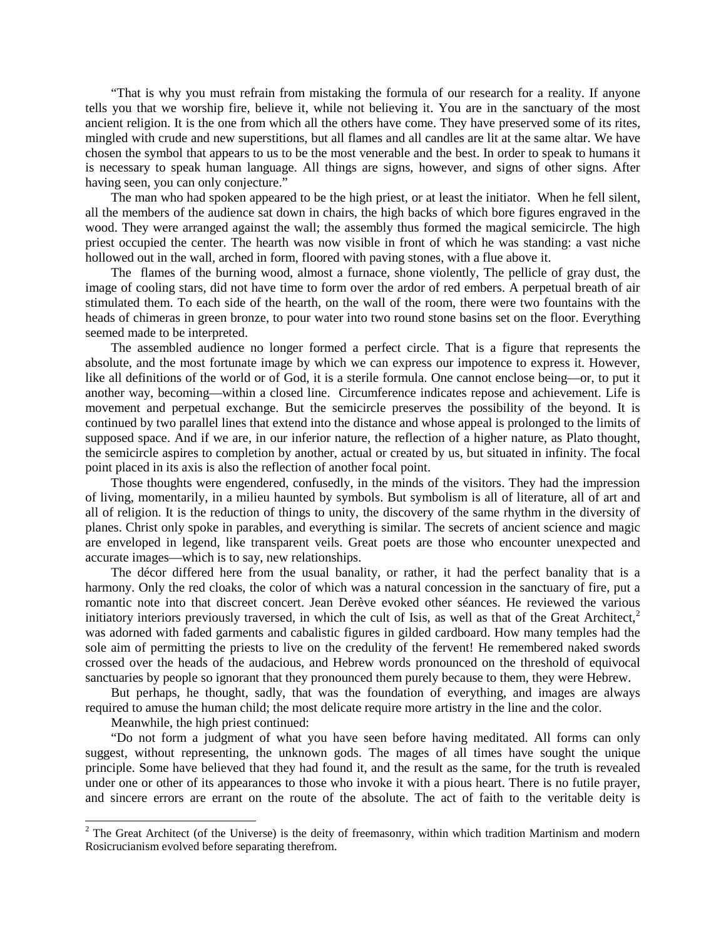"That is why you must refrain from mistaking the formula of our research for a reality. If anyone tells you that we worship fire, believe it, while not believing it. You are in the sanctuary of the most ancient religion. It is the one from which all the others have come. They have preserved some of its rites, mingled with crude and new superstitions, but all flames and all candles are lit at the same altar. We have chosen the symbol that appears to us to be the most venerable and the best. In order to speak to humans it is necessary to speak human language. All things are signs, however, and signs of other signs. After having seen, you can only conjecture."

The man who had spoken appeared to be the high priest, or at least the initiator. When he fell silent, all the members of the audience sat down in chairs, the high backs of which bore figures engraved in the wood. They were arranged against the wall; the assembly thus formed the magical semicircle. The high priest occupied the center. The hearth was now visible in front of which he was standing: a vast niche hollowed out in the wall, arched in form, floored with paving stones, with a flue above it.

The flames of the burning wood, almost a furnace, shone violently, The pellicle of gray dust, the image of cooling stars, did not have time to form over the ardor of red embers. A perpetual breath of air stimulated them. To each side of the hearth, on the wall of the room, there were two fountains with the heads of chimeras in green bronze, to pour water into two round stone basins set on the floor. Everything seemed made to be interpreted.

The assembled audience no longer formed a perfect circle. That is a figure that represents the absolute, and the most fortunate image by which we can express our impotence to express it. However, like all definitions of the world or of God, it is a sterile formula. One cannot enclose being—or, to put it another way, becoming—within a closed line. Circumference indicates repose and achievement. Life is movement and perpetual exchange. But the semicircle preserves the possibility of the beyond. It is continued by two parallel lines that extend into the distance and whose appeal is prolonged to the limits of supposed space. And if we are, in our inferior nature, the reflection of a higher nature, as Plato thought, the semicircle aspires to completion by another, actual or created by us, but situated in infinity. The focal point placed in its axis is also the reflection of another focal point.

Those thoughts were engendered, confusedly, in the minds of the visitors. They had the impression of living, momentarily, in a milieu haunted by symbols. But symbolism is all of literature, all of art and all of religion. It is the reduction of things to unity, the discovery of the same rhythm in the diversity of planes. Christ only spoke in parables, and everything is similar. The secrets of ancient science and magic are enveloped in legend, like transparent veils. Great poets are those who encounter unexpected and accurate images—which is to say, new relationships.

The décor differed here from the usual banality, or rather, it had the perfect banality that is a harmony. Only the red cloaks, the color of which was a natural concession in the sanctuary of fire, put a romantic note into that discreet concert. Jean Derève evoked other séances. He reviewed the various initiatory interiors previously traversed, in which the cult of Isis, as well as that of the Great Architect, $2$ was adorned with faded garments and cabalistic figures in gilded cardboard. How many temples had the sole aim of permitting the priests to live on the credulity of the fervent! He remembered naked swords crossed over the heads of the audacious, and Hebrew words pronounced on the threshold of equivocal sanctuaries by people so ignorant that they pronounced them purely because to them, they were Hebrew.

But perhaps, he thought, sadly, that was the foundation of everything, and images are always required to amuse the human child; the most delicate require more artistry in the line and the color.

Meanwhile, the high priest continued:

"Do not form a judgment of what you have seen before having meditated. All forms can only suggest, without representing, the unknown gods. The mages of all times have sought the unique principle. Some have believed that they had found it, and the result as the same, for the truth is revealed under one or other of its appearances to those who invoke it with a pious heart. There is no futile prayer, and sincere errors are errant on the route of the absolute. The act of faith to the veritable deity is

<span id="page-3-0"></span> $2$  The Great Architect (of the Universe) is the deity of freemasonry, within which tradition Martinism and modern Rosicrucianism evolved before separating therefrom.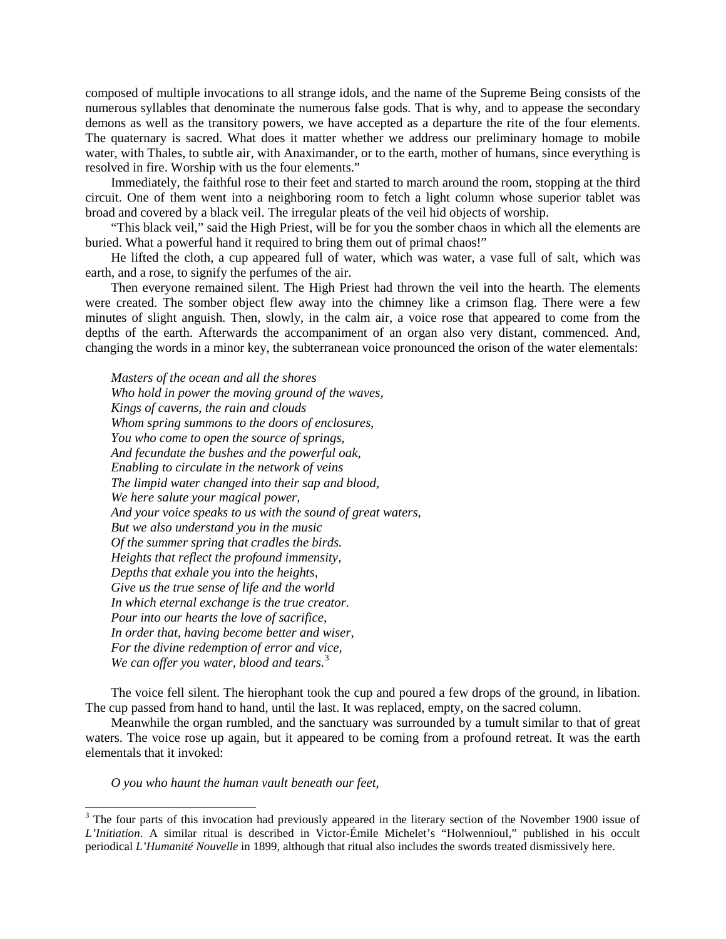composed of multiple invocations to all strange idols, and the name of the Supreme Being consists of the numerous syllables that denominate the numerous false gods. That is why, and to appease the secondary demons as well as the transitory powers, we have accepted as a departure the rite of the four elements. The quaternary is sacred. What does it matter whether we address our preliminary homage to mobile water, with Thales, to subtle air, with Anaximander, or to the earth, mother of humans, since everything is resolved in fire. Worship with us the four elements."

Immediately, the faithful rose to their feet and started to march around the room, stopping at the third circuit. One of them went into a neighboring room to fetch a light column whose superior tablet was broad and covered by a black veil. The irregular pleats of the veil hid objects of worship.

"This black veil," said the High Priest, will be for you the somber chaos in which all the elements are buried. What a powerful hand it required to bring them out of primal chaos!"

He lifted the cloth, a cup appeared full of water, which was water, a vase full of salt, which was earth, and a rose, to signify the perfumes of the air.

Then everyone remained silent. The High Priest had thrown the veil into the hearth. The elements were created. The somber object flew away into the chimney like a crimson flag. There were a few minutes of slight anguish. Then, slowly, in the calm air, a voice rose that appeared to come from the depths of the earth. Afterwards the accompaniment of an organ also very distant, commenced. And, changing the words in a minor key, the subterranean voice pronounced the orison of the water elementals:

*Masters of the ocean and all the shores Who hold in power the moving ground of the waves, Kings of caverns, the rain and clouds Whom spring summons to the doors of enclosures, You who come to open the source of springs, And fecundate the bushes and the powerful oak, Enabling to circulate in the network of veins The limpid water changed into their sap and blood, We here salute your magical power, And your voice speaks to us with the sound of great waters, But we also understand you in the music Of the summer spring that cradles the birds. Heights that reflect the profound immensity, Depths that exhale you into the heights, Give us the true sense of life and the world In which eternal exchange is the true creator. Pour into our hearts the love of sacrifice, In order that, having become better and wiser, For the divine redemption of error and vice, We can offer you water, blood and tears*. [3](#page-4-0)

The voice fell silent. The hierophant took the cup and poured a few drops of the ground, in libation. The cup passed from hand to hand, until the last. It was replaced, empty, on the sacred column.

Meanwhile the organ rumbled, and the sanctuary was surrounded by a tumult similar to that of great waters. The voice rose up again, but it appeared to be coming from a profound retreat. It was the earth elementals that it invoked:

*O you who haunt the human vault beneath our feet,*

<span id="page-4-0"></span><sup>&</sup>lt;sup>3</sup> The four parts of this invocation had previously appeared in the literary section of the November 1900 issue of *L'Initiation*. A similar ritual is described in Victor-Émile Michelet's "Holwennioul," published in his occult periodical *L'Humanité Nouvelle* in 1899, although that ritual also includes the swords treated dismissively here.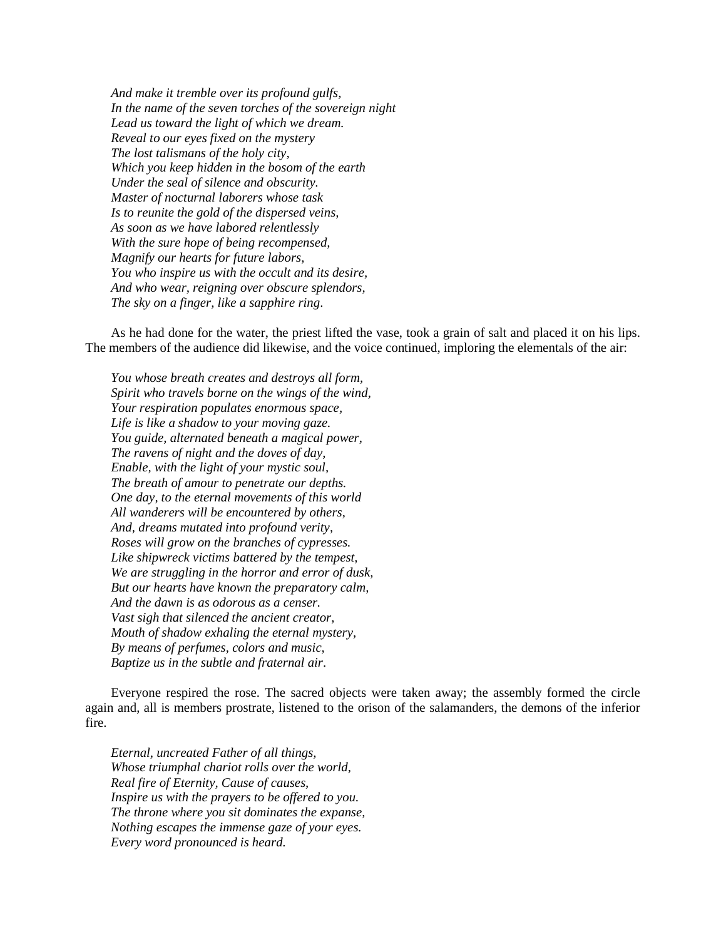*And make it tremble over its profound gulfs, In the name of the seven torches of the sovereign night Lead us toward the light of which we dream. Reveal to our eyes fixed on the mystery The lost talismans of the holy city, Which you keep hidden in the bosom of the earth Under the seal of silence and obscurity. Master of nocturnal laborers whose task Is to reunite the gold of the dispersed veins, As soon as we have labored relentlessly With the sure hope of being recompensed, Magnify our hearts for future labors, You who inspire us with the occult and its desire, And who wear, reigning over obscure splendors, The sky on a finger, like a sapphire ring*.

As he had done for the water, the priest lifted the vase, took a grain of salt and placed it on his lips. The members of the audience did likewise, and the voice continued, imploring the elementals of the air:

*You whose breath creates and destroys all form, Spirit who travels borne on the wings of the wind, Your respiration populates enormous space, Life is like a shadow to your moving gaze. You guide, alternated beneath a magical power, The ravens of night and the doves of day, Enable, with the light of your mystic soul, The breath of amour to penetrate our depths. One day, to the eternal movements of this world All wanderers will be encountered by others, And, dreams mutated into profound verity, Roses will grow on the branches of cypresses. Like shipwreck victims battered by the tempest, We are struggling in the horror and error of dusk, But our hearts have known the preparatory calm, And the dawn is as odorous as a censer. Vast sigh that silenced the ancient creator, Mouth of shadow exhaling the eternal mystery, By means of perfumes, colors and music, Baptize us in the subtle and fraternal air*.

Everyone respired the rose. The sacred objects were taken away; the assembly formed the circle again and, all is members prostrate, listened to the orison of the salamanders, the demons of the inferior fire.

*Eternal, uncreated Father of all things, Whose triumphal chariot rolls over the world, Real fire of Eternity, Cause of causes, Inspire us with the prayers to be offered to you. The throne where you sit dominates the expanse, Nothing escapes the immense gaze of your eyes. Every word pronounced is heard.*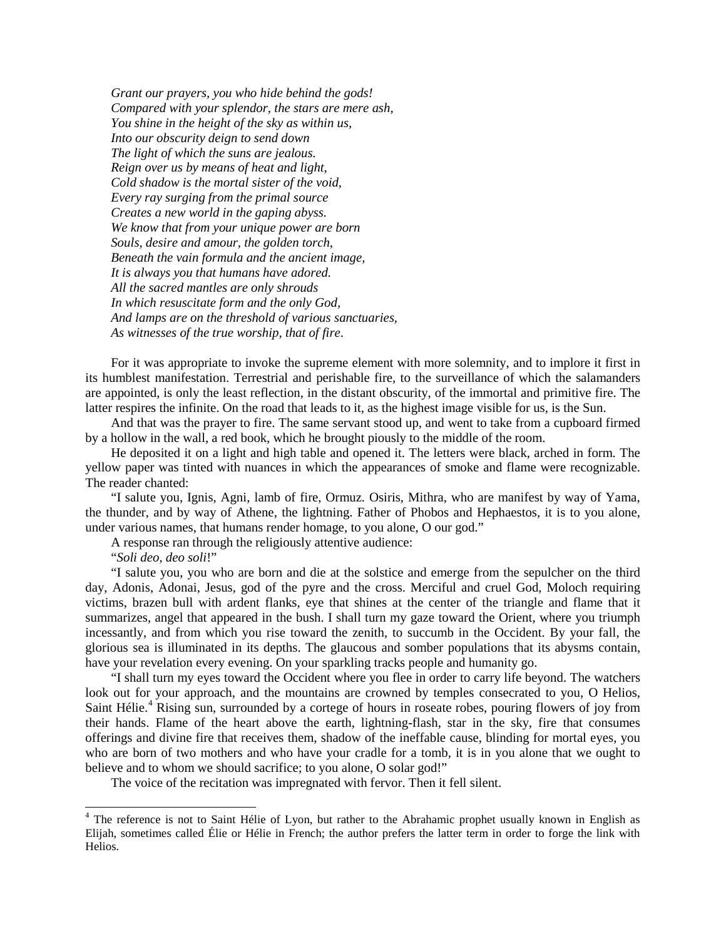*Grant our prayers, you who hide behind the gods! Compared with your splendor, the stars are mere ash, You shine in the height of the sky as within us, Into our obscurity deign to send down The light of which the suns are jealous. Reign over us by means of heat and light, Cold shadow is the mortal sister of the void, Every ray surging from the primal source Creates a new world in the gaping abyss. We know that from your unique power are born Souls, desire and amour, the golden torch, Beneath the vain formula and the ancient image, It is always you that humans have adored. All the sacred mantles are only shrouds In which resuscitate form and the only God, And lamps are on the threshold of various sanctuaries, As witnesses of the true worship, that of fire*.

For it was appropriate to invoke the supreme element with more solemnity, and to implore it first in its humblest manifestation. Terrestrial and perishable fire, to the surveillance of which the salamanders are appointed, is only the least reflection, in the distant obscurity, of the immortal and primitive fire. The latter respires the infinite. On the road that leads to it, as the highest image visible for us, is the Sun.

And that was the prayer to fire. The same servant stood up, and went to take from a cupboard firmed by a hollow in the wall, a red book, which he brought piously to the middle of the room.

He deposited it on a light and high table and opened it. The letters were black, arched in form. The yellow paper was tinted with nuances in which the appearances of smoke and flame were recognizable. The reader chanted:

"I salute you, Ignis, Agni, lamb of fire, Ormuz. Osiris, Mithra, who are manifest by way of Yama, the thunder, and by way of Athene, the lightning. Father of Phobos and Hephaestos, it is to you alone, under various names, that humans render homage, to you alone, O our god."

A response ran through the religiously attentive audience:

"*Soli deo, deo soli*!"

"I salute you, you who are born and die at the solstice and emerge from the sepulcher on the third day, Adonis, Adonai, Jesus, god of the pyre and the cross. Merciful and cruel God, Moloch requiring victims, brazen bull with ardent flanks, eye that shines at the center of the triangle and flame that it summarizes, angel that appeared in the bush. I shall turn my gaze toward the Orient, where you triumph incessantly, and from which you rise toward the zenith, to succumb in the Occident. By your fall, the glorious sea is illuminated in its depths. The glaucous and somber populations that its abysms contain, have your revelation every evening. On your sparkling tracks people and humanity go.

"I shall turn my eyes toward the Occident where you flee in order to carry life beyond. The watchers look out for your approach, and the mountains are crowned by temples consecrated to you, O Helios, Saint Hélie.<sup>[4](#page-6-0)</sup> Rising sun, surrounded by a cortege of hours in roseate robes, pouring flowers of joy from their hands. Flame of the heart above the earth, lightning-flash, star in the sky, fire that consumes offerings and divine fire that receives them, shadow of the ineffable cause, blinding for mortal eyes, you who are born of two mothers and who have your cradle for a tomb, it is in you alone that we ought to believe and to whom we should sacrifice; to you alone, O solar god!"

The voice of the recitation was impregnated with fervor. Then it fell silent.

<span id="page-6-0"></span><sup>&</sup>lt;sup>4</sup> The reference is not to Saint Hélie of Lyon, but rather to the Abrahamic prophet usually known in English as Elijah, sometimes called Élie or Hélie in French; the author prefers the latter term in order to forge the link with Helios.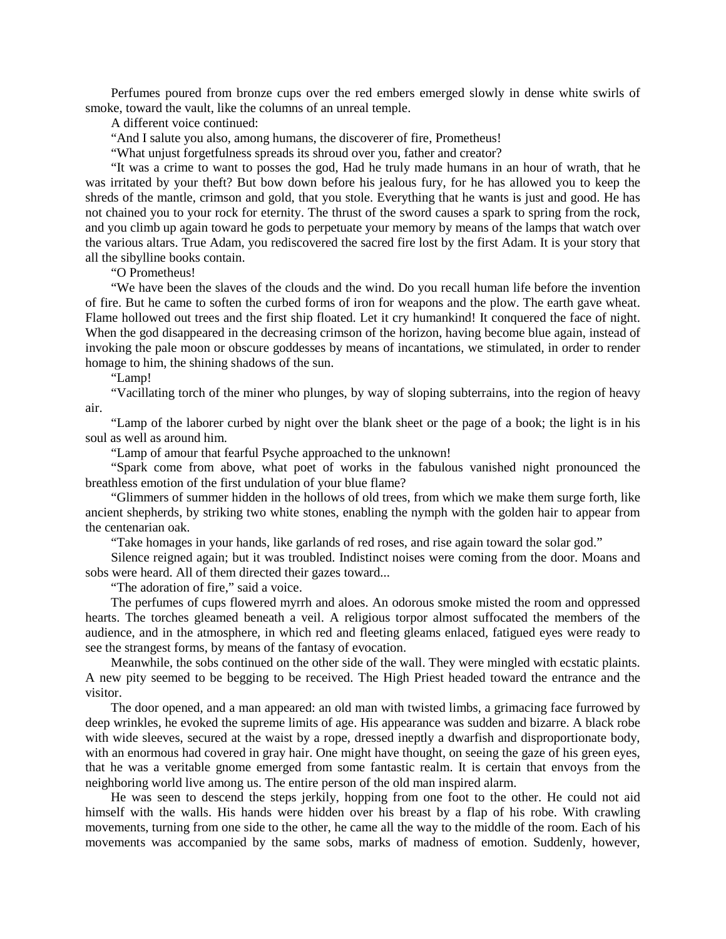Perfumes poured from bronze cups over the red embers emerged slowly in dense white swirls of smoke, toward the vault, like the columns of an unreal temple.

A different voice continued:

"And I salute you also, among humans, the discoverer of fire, Prometheus!

"What unjust forgetfulness spreads its shroud over you, father and creator?

"It was a crime to want to posses the god, Had he truly made humans in an hour of wrath, that he was irritated by your theft? But bow down before his jealous fury, for he has allowed you to keep the shreds of the mantle, crimson and gold, that you stole. Everything that he wants is just and good. He has not chained you to your rock for eternity. The thrust of the sword causes a spark to spring from the rock, and you climb up again toward he gods to perpetuate your memory by means of the lamps that watch over the various altars. True Adam, you rediscovered the sacred fire lost by the first Adam. It is your story that all the sibylline books contain.

"O Prometheus!

"We have been the slaves of the clouds and the wind. Do you recall human life before the invention of fire. But he came to soften the curbed forms of iron for weapons and the plow. The earth gave wheat. Flame hollowed out trees and the first ship floated. Let it cry humankind! It conquered the face of night. When the god disappeared in the decreasing crimson of the horizon, having become blue again, instead of invoking the pale moon or obscure goddesses by means of incantations, we stimulated, in order to render homage to him, the shining shadows of the sun.

"Lamp!

"Vacillating torch of the miner who plunges, by way of sloping subterrains, into the region of heavy air.

"Lamp of the laborer curbed by night over the blank sheet or the page of a book; the light is in his soul as well as around him.

"Lamp of amour that fearful Psyche approached to the unknown!

"Spark come from above, what poet of works in the fabulous vanished night pronounced the breathless emotion of the first undulation of your blue flame?

"Glimmers of summer hidden in the hollows of old trees, from which we make them surge forth, like ancient shepherds, by striking two white stones, enabling the nymph with the golden hair to appear from the centenarian oak.

"Take homages in your hands, like garlands of red roses, and rise again toward the solar god."

Silence reigned again; but it was troubled. Indistinct noises were coming from the door. Moans and sobs were heard. All of them directed their gazes toward...

"The adoration of fire," said a voice.

The perfumes of cups flowered myrrh and aloes. An odorous smoke misted the room and oppressed hearts. The torches gleamed beneath a veil. A religious torpor almost suffocated the members of the audience, and in the atmosphere, in which red and fleeting gleams enlaced, fatigued eyes were ready to see the strangest forms, by means of the fantasy of evocation.

Meanwhile, the sobs continued on the other side of the wall. They were mingled with ecstatic plaints. A new pity seemed to be begging to be received. The High Priest headed toward the entrance and the visitor.

The door opened, and a man appeared: an old man with twisted limbs, a grimacing face furrowed by deep wrinkles, he evoked the supreme limits of age. His appearance was sudden and bizarre. A black robe with wide sleeves, secured at the waist by a rope, dressed ineptly a dwarfish and disproportionate body, with an enormous had covered in gray hair. One might have thought, on seeing the gaze of his green eyes, that he was a veritable gnome emerged from some fantastic realm. It is certain that envoys from the neighboring world live among us. The entire person of the old man inspired alarm.

He was seen to descend the steps jerkily, hopping from one foot to the other. He could not aid himself with the walls. His hands were hidden over his breast by a flap of his robe. With crawling movements, turning from one side to the other, he came all the way to the middle of the room. Each of his movements was accompanied by the same sobs, marks of madness of emotion. Suddenly, however,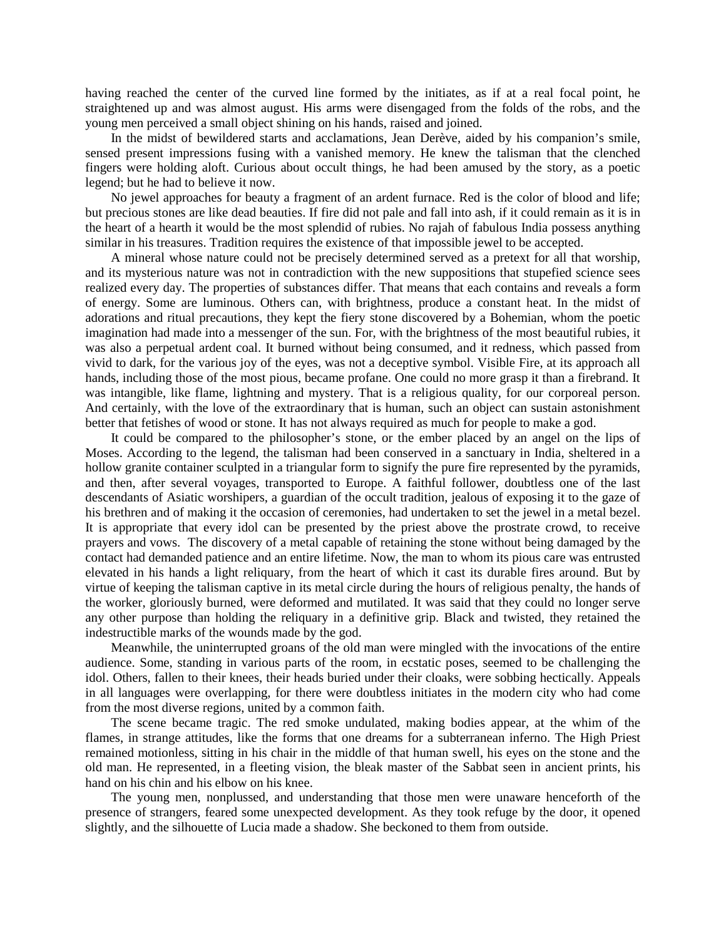having reached the center of the curved line formed by the initiates, as if at a real focal point, he straightened up and was almost august. His arms were disengaged from the folds of the robs, and the young men perceived a small object shining on his hands, raised and joined.

In the midst of bewildered starts and acclamations, Jean Derève, aided by his companion's smile, sensed present impressions fusing with a vanished memory. He knew the talisman that the clenched fingers were holding aloft. Curious about occult things, he had been amused by the story, as a poetic legend; but he had to believe it now.

No jewel approaches for beauty a fragment of an ardent furnace. Red is the color of blood and life; but precious stones are like dead beauties. If fire did not pale and fall into ash, if it could remain as it is in the heart of a hearth it would be the most splendid of rubies. No rajah of fabulous India possess anything similar in his treasures. Tradition requires the existence of that impossible jewel to be accepted.

A mineral whose nature could not be precisely determined served as a pretext for all that worship, and its mysterious nature was not in contradiction with the new suppositions that stupefied science sees realized every day. The properties of substances differ. That means that each contains and reveals a form of energy. Some are luminous. Others can, with brightness, produce a constant heat. In the midst of adorations and ritual precautions, they kept the fiery stone discovered by a Bohemian, whom the poetic imagination had made into a messenger of the sun. For, with the brightness of the most beautiful rubies, it was also a perpetual ardent coal. It burned without being consumed, and it redness, which passed from vivid to dark, for the various joy of the eyes, was not a deceptive symbol. Visible Fire, at its approach all hands, including those of the most pious, became profane. One could no more grasp it than a firebrand. It was intangible, like flame, lightning and mystery. That is a religious quality, for our corporeal person. And certainly, with the love of the extraordinary that is human, such an object can sustain astonishment better that fetishes of wood or stone. It has not always required as much for people to make a god.

It could be compared to the philosopher's stone, or the ember placed by an angel on the lips of Moses. According to the legend, the talisman had been conserved in a sanctuary in India, sheltered in a hollow granite container sculpted in a triangular form to signify the pure fire represented by the pyramids, and then, after several voyages, transported to Europe. A faithful follower, doubtless one of the last descendants of Asiatic worshipers, a guardian of the occult tradition, jealous of exposing it to the gaze of his brethren and of making it the occasion of ceremonies, had undertaken to set the jewel in a metal bezel. It is appropriate that every idol can be presented by the priest above the prostrate crowd, to receive prayers and vows. The discovery of a metal capable of retaining the stone without being damaged by the contact had demanded patience and an entire lifetime. Now, the man to whom its pious care was entrusted elevated in his hands a light reliquary, from the heart of which it cast its durable fires around. But by virtue of keeping the talisman captive in its metal circle during the hours of religious penalty, the hands of the worker, gloriously burned, were deformed and mutilated. It was said that they could no longer serve any other purpose than holding the reliquary in a definitive grip. Black and twisted, they retained the indestructible marks of the wounds made by the god.

Meanwhile, the uninterrupted groans of the old man were mingled with the invocations of the entire audience. Some, standing in various parts of the room, in ecstatic poses, seemed to be challenging the idol. Others, fallen to their knees, their heads buried under their cloaks, were sobbing hectically. Appeals in all languages were overlapping, for there were doubtless initiates in the modern city who had come from the most diverse regions, united by a common faith.

The scene became tragic. The red smoke undulated, making bodies appear, at the whim of the flames, in strange attitudes, like the forms that one dreams for a subterranean inferno. The High Priest remained motionless, sitting in his chair in the middle of that human swell, his eyes on the stone and the old man. He represented, in a fleeting vision, the bleak master of the Sabbat seen in ancient prints, his hand on his chin and his elbow on his knee.

The young men, nonplussed, and understanding that those men were unaware henceforth of the presence of strangers, feared some unexpected development. As they took refuge by the door, it opened slightly, and the silhouette of Lucia made a shadow. She beckoned to them from outside.